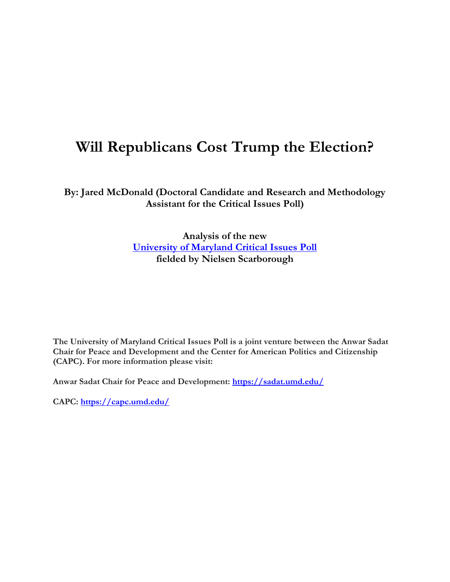# **Will Republicans Cost Trump the Election?**

**By: Jared McDonald (Doctoral Candidate and Research and Methodology Assistant for the Critical Issues Poll)**

> **Analysis of the new [University of Maryland Critical Issues Poll](https://criticalissues.umd.edu/) fielded by Nielsen Scarborough**

**The University of Maryland Critical Issues Poll is a joint venture between the Anwar Sadat Chair for Peace and Development and the Center for American Politics and Citizenship (CAPC). For more information please visit:**

**Anwar Sadat Chair for Peace and Development:<https://sadat.umd.edu/>**

**CAPC:<https://capc.umd.edu/>**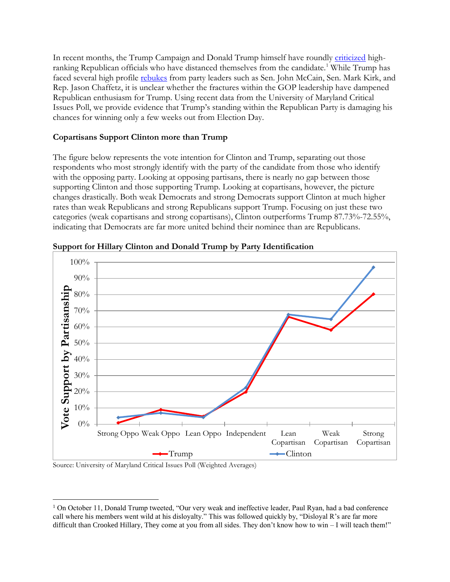In recent months, the Trump Campaign and Donald Trump himself have roundly [criticized](http://www.nytimes.com/2016/10/12/us/politics/donald-trump-paul-ryan.html) highranking Republican officials who have distanced themselves from the candidate.<sup>1</sup> While Trump has faced several high profile [rebukes](http://www.wsj.com/articles/some-republicans-withdraw-trump-support-as-partys-leaders-condemn-comments-1475899482) from party leaders such as Sen. John McCain, Sen. Mark Kirk, and Rep. Jason Chaffetz, it is unclear whether the fractures within the GOP leadership have dampened Republican enthusiasm for Trump. Using recent data from the University of Maryland Critical Issues Poll, we provide evidence that Trump's standing within the Republican Party is damaging his chances for winning only a few weeks out from Election Day.

### **Copartisans Support Clinton more than Trump**

The figure below represents the vote intention for Clinton and Trump, separating out those respondents who most strongly identify with the party of the candidate from those who identify with the opposing party. Looking at opposing partisans, there is nearly no gap between those supporting Clinton and those supporting Trump. Looking at copartisans, however, the picture changes drastically. Both weak Democrats and strong Democrats support Clinton at much higher rates than weak Republicans and strong Republicans support Trump. Focusing on just these two categories (weak copartisans and strong copartisans), Clinton outperforms Trump 87.73%-72.55%, indicating that Democrats are far more united behind their nominee than are Republicans.



**Support for Hillary Clinton and Donald Trump by Party Identification**

Source: University of Maryland Critical Issues Poll (Weighted Averages)

 $\overline{a}$ 

<sup>&</sup>lt;sup>1</sup> On October 11, Donald Trump tweeted, "Our very weak and ineffective leader, Paul Ryan, had a bad conference call where his members went wild at his disloyalty." This was followed quickly by, "Disloyal R's are far more difficult than Crooked Hillary, They come at you from all sides. They don't know how to win – I will teach them!"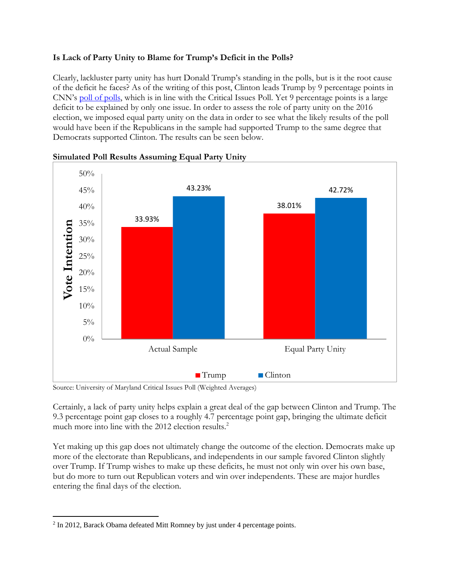## **Is Lack of Party Unity to Blame for Trump's Deficit in the Polls?**

Clearly, lackluster party unity has hurt Donald Trump's standing in the polls, but is it the root cause of the deficit he faces? As of the writing of this post, Clinton leads Trump by 9 percentage points in CNN's [poll of polls,](http://www.cnn.com/election) which is in line with the Critical Issues Poll. Yet 9 percentage points is a large deficit to be explained by only one issue. In order to assess the role of party unity on the 2016 election, we imposed equal party unity on the data in order to see what the likely results of the poll would have been if the Republicans in the sample had supported Trump to the same degree that Democrats supported Clinton. The results can be seen below.



#### **Simulated Poll Results Assuming Equal Party Unity**

Source: University of Maryland Critical Issues Poll (Weighted Averages)

Certainly, a lack of party unity helps explain a great deal of the gap between Clinton and Trump. The 9.3 percentage point gap closes to a roughly 4.7 percentage point gap, bringing the ultimate deficit much more into line with the 2012 election results.<sup>2</sup>

Yet making up this gap does not ultimately change the outcome of the election. Democrats make up more of the electorate than Republicans, and independents in our sample favored Clinton slightly over Trump. If Trump wishes to make up these deficits, he must not only win over his own base, but do more to turn out Republican voters and win over independents. These are major hurdles entering the final days of the election.

 $\overline{a}$ 

 $2 \text{ In } 2012$ , Barack Obama defeated Mitt Romney by just under 4 percentage points.